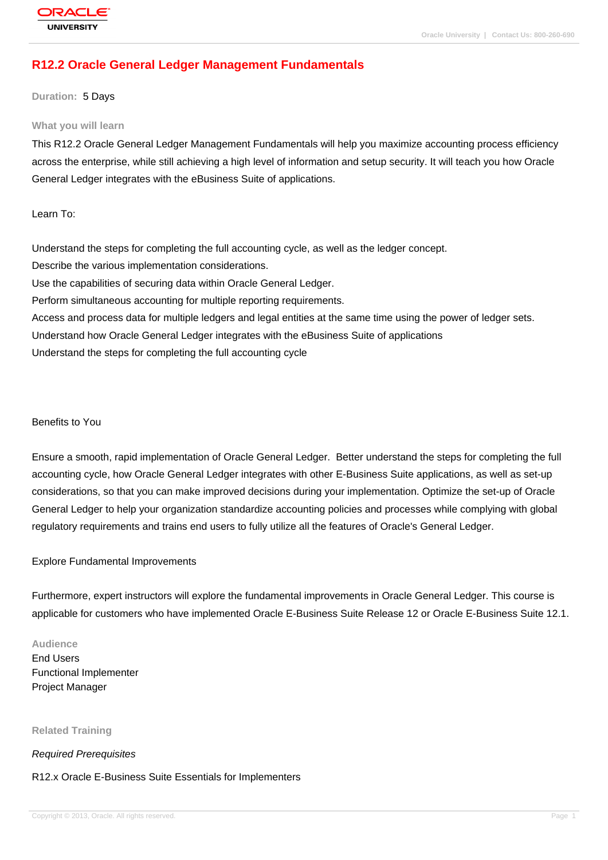# **[R12.2 Oracle G](http://education.oracle.com/pls/web_prod-plq-dad/db_pages.getpage?page_id=3)eneral Ledger Management Fundamentals**

#### **Duration:** 5 Days

#### **What you will learn**

This R12.2 Oracle General Ledger Management Fundamentals will help you maximize accounting process efficiency across the enterprise, while still achieving a high level of information and setup security. It will teach you how Oracle General Ledger integrates with the eBusiness Suite of applications.

Learn To:

Understand the steps for completing the full accounting cycle, as well as the ledger concept. Describe the various implementation considerations. Use the capabilities of securing data within Oracle General Ledger. Perform simultaneous accounting for multiple reporting requirements. Access and process data for multiple ledgers and legal entities at the same time using the power of ledger sets. Understand how Oracle General Ledger integrates with the eBusiness Suite of applications Understand the steps for completing the full accounting cycle

### Benefits to You

Ensure a smooth, rapid implementation of Oracle General Ledger. Better understand the steps for completing the full accounting cycle, how Oracle General Ledger integrates with other E-Business Suite applications, as well as set-up considerations, so that you can make improved decisions during your implementation. Optimize the set-up of Oracle General Ledger to help your organization standardize accounting policies and processes while complying with global regulatory requirements and trains end users to fully utilize all the features of Oracle's General Ledger.

#### Explore Fundamental Improvements

Furthermore, expert instructors will explore the fundamental improvements in Oracle General Ledger. This course is applicable for customers who have implemented Oracle E-Business Suite Release 12 or Oracle E-Business Suite 12.1.

#### **Audience**

End Users Functional Implementer Project Manager

**Related Training**

#### Required Prerequisites

#### R12.x Oracle E-Business Suite Essentials for Implementers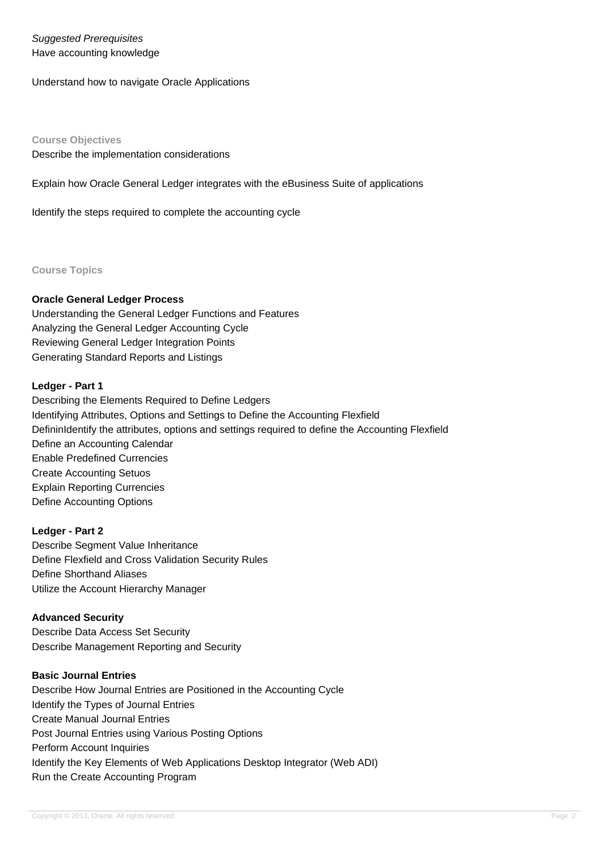## Suggested Prerequisites Have accounting knowledge

Understand how to navigate Oracle Applications

**Course Objectives** Describe the implementation considerations

Explain how Oracle General Ledger integrates with the eBusiness Suite of applications

Identify the steps required to complete the accounting cycle

**Course Topics**

## **Oracle General Ledger Process**

Understanding the General Ledger Functions and Features Analyzing the General Ledger Accounting Cycle Reviewing General Ledger Integration Points Generating Standard Reports and Listings

### **Ledger - Part 1**

Describing the Elements Required to Define Ledgers Identifying Attributes, Options and Settings to Define the Accounting Flexfield DefininIdentify the attributes, options and settings required to define the Accounting Flexfield Define an Accounting Calendar Enable Predefined Currencies Create Accounting Setuos Explain Reporting Currencies Define Accounting Options

## **Ledger - Part 2**

Describe Segment Value Inheritance Define Flexfield and Cross Validation Security Rules Define Shorthand Aliases Utilize the Account Hierarchy Manager

## **Advanced Security**

Describe Data Access Set Security Describe Management Reporting and Security

## **Basic Journal Entries**

Describe How Journal Entries are Positioned in the Accounting Cycle Identify the Types of Journal Entries Create Manual Journal Entries Post Journal Entries using Various Posting Options Perform Account Inquiries Identify the Key Elements of Web Applications Desktop Integrator (Web ADI) Run the Create Accounting Program